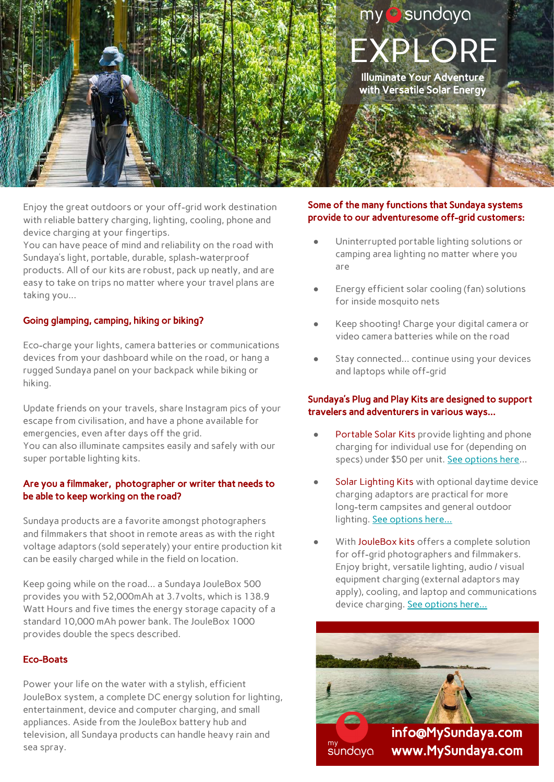### my **Sundaya** EXPLORE Illuminate Your Adventure

with Versatile Solar Energy

Enjoy the great outdoors or your off-grid work destination with reliable battery charging, lighting, cooling, phone and device charging at your fingertips.

You can have peace of mind and reliability on the road with Sundaya's light, portable, durable, splash-waterproof products. All of our kits are robust, pack up neatly, and are easy to take on trips no matter where your travel plans are taking you...

### Going glamping, camping, hiking or biking?

Eco-charge your lights, camera batteries or communications devices from your dashboard while on the road, or hang a rugged Sundaya panel on your backpack while biking or hiking.

Update friends on your travels, share Instagram pics of your escape from civilisation, and have a phone available for emergencies, even after days off the grid.

You can also illuminate campsites easily and safely with our super portable lighting kits.

#### Are you a filmmaker, photographer or writer that needs to be able to keep working on the road?

Sundaya products are a favorite amongst photographers and filmmakers that shoot in remote areas as with the right voltage adaptors (sold seperately) your entire production kit can be easily charged while in the field on location.

Keep going while on the road… a Sundaya JouleBox 500 provides you with 52,000mAh at 3.7volts, which is 138.9 Watt Hours and five times the energy storage capacity of a standard 10,000 mAh power bank. The JouleBox 1000 provides double the specs described.

#### Eco-Boats

Power your life on the water with a stylish, efficient JouleBox system, a complete DC energy solution for lighting, entertainment, device and computer charging, and small appliances. Aside from the JouleBox battery hub and television, all Sundaya products can handle heavy rain and sea spray.

#### Some of the many functions that Sundaya systems provide to our adventuresome off-grid customers:

- Uninterrupted portable lighting solutions or camping area lighting no matter where you are
- Energy efficient solar cooling (fan) solutions for inside mosquito nets
- Keep shooting! Charge your digital camera or video camera batteries while on the road
- Stay connected... continue using your devices and laptops while off-grid

#### Sundaya's Plug and Play Kits are designed to support travelers and adventurers in various ways...

- Portable Solar Kits provide lighting and phone charging for individual use for (depending on specs) under \$50 per unit. [See options here](http://www.alamsantidesign.com/portable-solar-kits)...
- Solar Lighting Kits with optional daytime device charging adaptors are practical for more long-term campsites and general outdoor lighting. [See options here...](http://www.alamsantidesign.com/solar-lighting-kits)
- With JouleBox kits offers a complete solution for off-grid photographers and filmmakers. Enjoy bright, versatile lighting, audio / visual equipment charging (external adaptors may apply), cooling, and laptop and communications device charging. [See options here...](http://www.alamsantidesign.com/advanced-solar-kits)